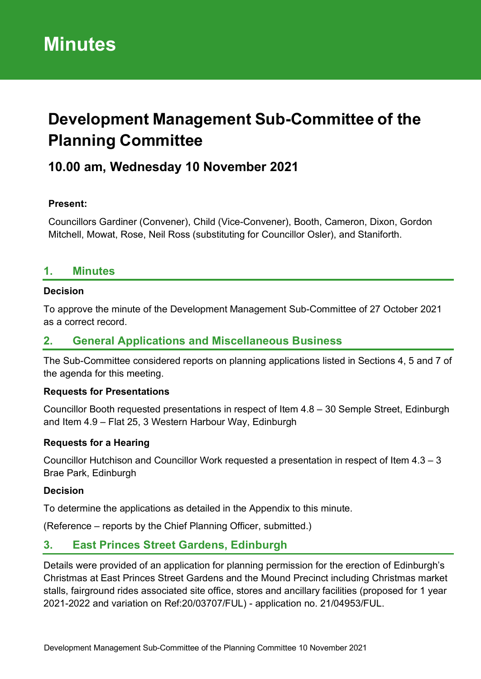# **Development Management Sub-Committee of the Planning Committee**

# **10.00 am, Wednesday 10 November 2021**

#### **Present:**

Councillors Gardiner (Convener), Child (Vice-Convener), Booth, Cameron, Dixon, Gordon Mitchell, Mowat, Rose, Neil Ross (substituting for Councillor Osler), and Staniforth.

# **1. Minutes**

#### **Decision**

To approve the minute of the Development Management Sub-Committee of 27 October 2021 as a correct record.

# **2. General Applications and Miscellaneous Business**

The Sub-Committee considered reports on planning applications listed in Sections 4, 5 and 7 of the agenda for this meeting.

#### **Requests for Presentations**

Councillor Booth requested presentations in respect of Item 4.8 – 30 Semple Street, Edinburgh and Item 4.9 – Flat 25, 3 Western Harbour Way, Edinburgh

#### **Requests for a Hearing**

Councillor Hutchison and Councillor Work requested a presentation in respect of Item 4.3 – 3 Brae Park, Edinburgh

#### **Decision**

To determine the applications as detailed in the Appendix to this minute.

(Reference – reports by the Chief Planning Officer, submitted.)

# **3. East Princes Street Gardens, Edinburgh**

Details were provided of an application for planning permission for the erection of Edinburgh's Christmas at East Princes Street Gardens and the Mound Precinct including Christmas market stalls, fairground rides associated site office, stores and ancillary facilities (proposed for 1 year 2021-2022 and variation on Ref:20/03707/FUL) - application no. 21/04953/FUL.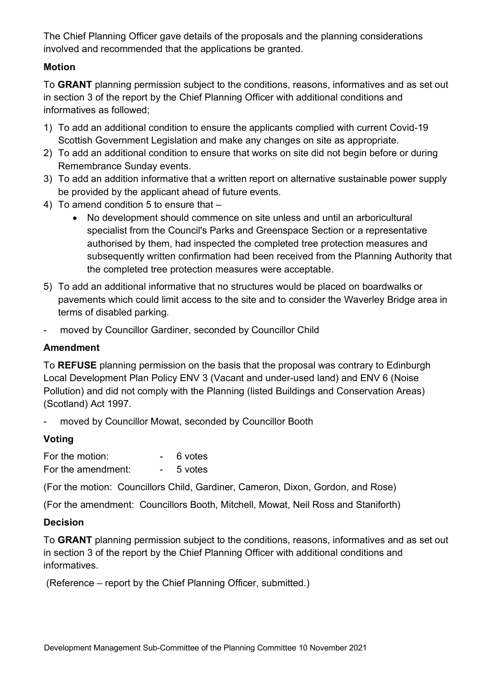The Chief Planning Officer gave details of the proposals and the planning considerations involved and recommended that the applications be granted.

#### **Motion**

To **GRANT** planning permission subject to the conditions, reasons, informatives and as set out in section 3 of the report by the Chief Planning Officer with additional conditions and informatives as followed;

- 1) To add an additional condition to ensure the applicants complied with current Covid-19 Scottish Government Legislation and make any changes on site as appropriate.
- 2) To add an additional condition to ensure that works on site did not begin before or during Remembrance Sunday events.
- 3) To add an addition informative that a written report on alternative sustainable power supply be provided by the applicant ahead of future events.
- 4) To amend condition 5 to ensure that
	- No development should commence on site unless and until an arboricultural specialist from the Council's Parks and Greenspace Section or a representative authorised by them, had inspected the completed tree protection measures and subsequently written confirmation had been received from the Planning Authority that the completed tree protection measures were acceptable.
- 5) To add an additional informative that no structures would be placed on boardwalks or pavements which could limit access to the site and to consider the Waverley Bridge area in terms of disabled parking.
- moved by Councillor Gardiner, seconded by Councillor Child

# **Amendment**

To **REFUSE** planning permission on the basis that the proposal was contrary to Edinburgh Local Development Plan Policy ENV 3 (Vacant and under-used land) and ENV 6 (Noise Pollution) and did not comply with the Planning (listed Buildings and Conservation Areas) (Scotland) Act 1997.

moved by Councillor Mowat, seconded by Councillor Booth

# **Voting**

| For the motion:    | 6 votes |
|--------------------|---------|
| For the amendment: | 5 votes |

(For the motion: Councillors Child, Gardiner, Cameron, Dixon, Gordon, and Rose)

(For the amendment: Councillors Booth, Mitchell, Mowat, Neil Ross and Staniforth)

# **Decision**

To **GRANT** planning permission subject to the conditions, reasons, informatives and as set out in section 3 of the report by the Chief Planning Officer with additional conditions and informatives.

(Reference – report by the Chief Planning Officer, submitted.)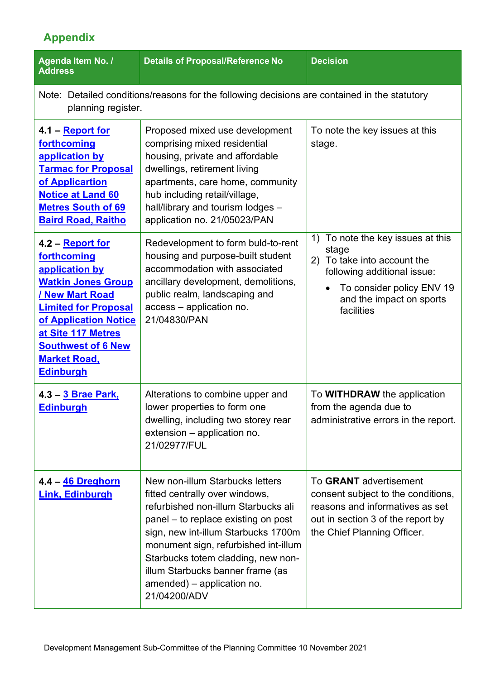# **Appendix**

| Agenda Item No. /<br><b>Address</b>                                                                                                                                                                                                                                   | <b>Details of Proposal/Reference No</b>                                                                                                                                                                                                                                                                                                                | <b>Decision</b>                                                                                                                                                                       |  |
|-----------------------------------------------------------------------------------------------------------------------------------------------------------------------------------------------------------------------------------------------------------------------|--------------------------------------------------------------------------------------------------------------------------------------------------------------------------------------------------------------------------------------------------------------------------------------------------------------------------------------------------------|---------------------------------------------------------------------------------------------------------------------------------------------------------------------------------------|--|
| Note: Detailed conditions/reasons for the following decisions are contained in the statutory<br>planning register.                                                                                                                                                    |                                                                                                                                                                                                                                                                                                                                                        |                                                                                                                                                                                       |  |
| 4.1 - Report for<br>forthcoming<br>application by<br><b>Tarmac for Proposal</b><br>of Applicartion<br><b>Notice at Land 60</b><br><b>Metres South of 69</b><br><b>Baird Road, Raitho</b>                                                                              | Proposed mixed use development<br>comprising mixed residential<br>housing, private and affordable<br>dwellings, retirement living<br>apartments, care home, community<br>hub including retail/village,<br>hall/library and tourism lodges -<br>application no. 21/05023/PAN                                                                            | To note the key issues at this<br>stage.                                                                                                                                              |  |
| 4.2 – <b>Report for</b><br>forthcoming<br>application by<br><b>Watkin Jones Group</b><br><b>/ New Mart Road</b><br><b>Limited for Proposal</b><br>of Application Notice<br>at Site 117 Metres<br><b>Southwest of 6 New</b><br><b>Market Road,</b><br><b>Edinburgh</b> | Redevelopment to form buld-to-rent<br>housing and purpose-built student<br>accommodation with associated<br>ancillary development, demolitions,<br>public realm, landscaping and<br>access - application no.<br>21/04830/PAN                                                                                                                           | To note the key issues at this<br>1)<br>stage<br>To take into account the<br>2)<br>following additional issue:<br>To consider policy ENV 19<br>and the impact on sports<br>facilities |  |
| 4.3 – 3 Brae Park,<br><b>Edinburgh</b>                                                                                                                                                                                                                                | Alterations to combine upper and<br>lower properties to form one<br>dwelling, including two storey rear<br>extension - application no.<br>21/02977/FUL                                                                                                                                                                                                 | To <b>WITHDRAW</b> the application<br>from the agenda due to<br>administrative errors in the report.                                                                                  |  |
| 4.4 – 46 Dreghorn<br><b>Link, Edinburgh</b>                                                                                                                                                                                                                           | New non-illum Starbucks letters<br>fitted centrally over windows,<br>refurbished non-illum Starbucks ali<br>panel - to replace existing on post<br>sign, new int-illum Starbucks 1700m<br>monument sign, refurbished int-illum<br>Starbucks totem cladding, new non-<br>illum Starbucks banner frame (as<br>amended) – application no.<br>21/04200/ADV | To GRANT advertisement<br>consent subject to the conditions,<br>reasons and informatives as set<br>out in section 3 of the report by<br>the Chief Planning Officer.                   |  |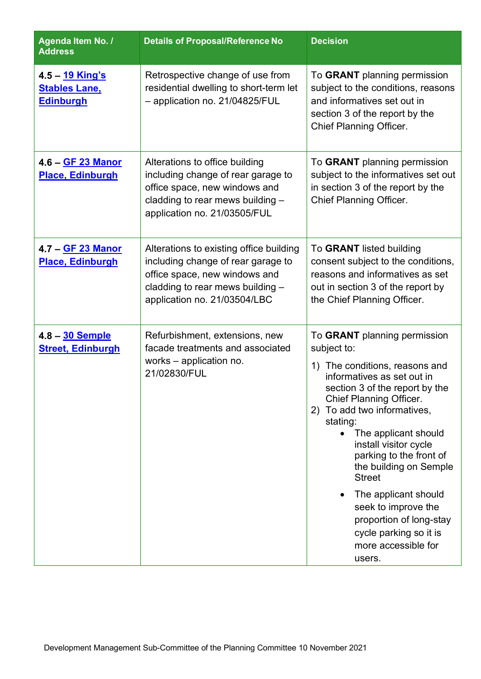| Agenda Item No. /<br><b>Address</b>                         | <b>Details of Proposal/Reference No</b>                                                                                                                                            | <b>Decision</b>                                                                                                                                                                                                                                                                                                                                                                                                                                                                              |
|-------------------------------------------------------------|------------------------------------------------------------------------------------------------------------------------------------------------------------------------------------|----------------------------------------------------------------------------------------------------------------------------------------------------------------------------------------------------------------------------------------------------------------------------------------------------------------------------------------------------------------------------------------------------------------------------------------------------------------------------------------------|
| 4.5 – 19 King's<br><b>Stables Lane,</b><br><b>Edinburgh</b> | Retrospective change of use from<br>residential dwelling to short-term let<br>- application no. 21/04825/FUL                                                                       | To GRANT planning permission<br>subject to the conditions, reasons<br>and informatives set out in<br>section 3 of the report by the<br><b>Chief Planning Officer.</b>                                                                                                                                                                                                                                                                                                                        |
| 4.6 – <b>GF 23 Manor</b><br><b>Place, Edinburgh</b>         | Alterations to office building<br>including change of rear garage to<br>office space, new windows and<br>cladding to rear mews building -<br>application no. 21/03505/FUL          | To GRANT planning permission<br>subject to the informatives set out<br>in section 3 of the report by the<br><b>Chief Planning Officer.</b>                                                                                                                                                                                                                                                                                                                                                   |
| <u>4.7 – GF 23 Manor</u><br><b>Place, Edinburgh</b>         | Alterations to existing office building<br>including change of rear garage to<br>office space, new windows and<br>cladding to rear mews building -<br>application no. 21/03504/LBC | To GRANT listed building<br>consent subject to the conditions,<br>reasons and informatives as set<br>out in section 3 of the report by<br>the Chief Planning Officer.                                                                                                                                                                                                                                                                                                                        |
| 4.8 - 30 Semple<br><b>Street, Edinburgh</b>                 | Refurbishment, extensions, new<br>facade treatments and associated<br>works – application no.<br>21/02830/FUL                                                                      | To GRANT planning permission<br>subject to:<br>The conditions, reasons and<br>1)<br>informatives as set out in<br>section 3 of the report by the<br><b>Chief Planning Officer.</b><br>To add two informatives,<br>2)<br>stating:<br>The applicant should<br>install visitor cycle<br>parking to the front of<br>the building on Semple<br><b>Street</b><br>The applicant should<br>seek to improve the<br>proportion of long-stay<br>cycle parking so it is<br>more accessible for<br>users. |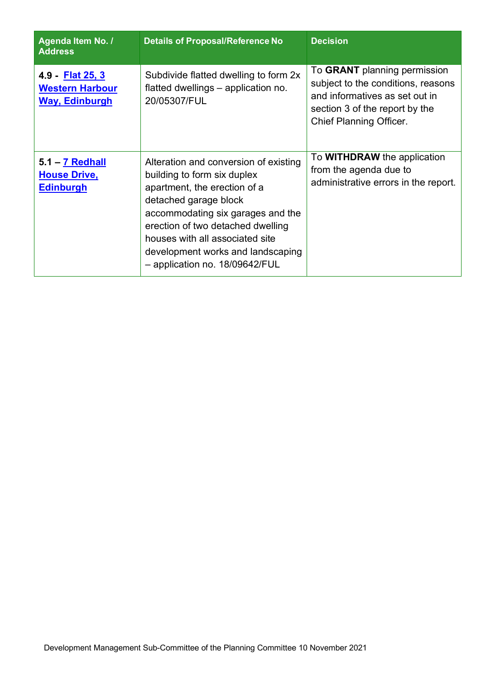| Agenda Item No. /<br><b>Address</b>                               | <b>Details of Proposal/Reference No</b>                                                                                                                                                                                                                                                                           | <b>Decision</b>                                                                                                                                                          |
|-------------------------------------------------------------------|-------------------------------------------------------------------------------------------------------------------------------------------------------------------------------------------------------------------------------------------------------------------------------------------------------------------|--------------------------------------------------------------------------------------------------------------------------------------------------------------------------|
| 4.9 Flat 25, 3<br><b>Western Harbour</b><br><b>Way, Edinburgh</b> | Subdivide flatted dwelling to form 2x<br>flatted dwellings - application no.<br>20/05307/FUL                                                                                                                                                                                                                      | To GRANT planning permission<br>subject to the conditions, reasons<br>and informatives as set out in<br>section 3 of the report by the<br><b>Chief Planning Officer.</b> |
| <u>5.1 – 7 Redhall</u><br><b>House Drive,</b><br><b>Edinburgh</b> | Alteration and conversion of existing<br>building to form six duplex<br>apartment, the erection of a<br>detached garage block<br>accommodating six garages and the<br>erection of two detached dwelling<br>houses with all associated site<br>development works and landscaping<br>- application no. 18/09642/FUL | To <b>WITHDRAW</b> the application<br>from the agenda due to<br>administrative errors in the report.                                                                     |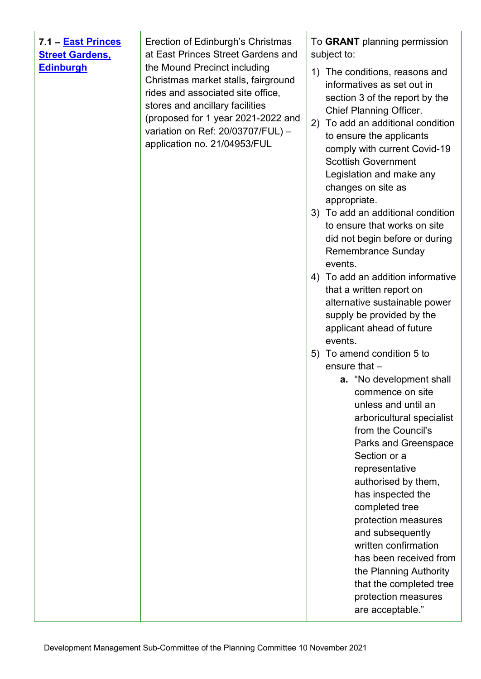| 7.1 - East Princes<br><b>Street Gardens,</b><br><b>Edinburgh</b> | Erection of Edinburgh's Christmas<br>at East Princes Street Gardens and<br>the Mound Precinct including<br>Christmas market stalls, fairground<br>rides and associated site office,<br>stores and ancillary facilities<br>(proposed for 1 year 2021-2022 and<br>variation on Ref: 20/03707/FUL) -<br>application no. 21/04953/FUL | To GRANT planning permission<br>subject to:<br>1) The conditions, reasons and<br>informatives as set out in<br>section 3 of the report by the<br><b>Chief Planning Officer.</b><br>2) To add an additional condition<br>to ensure the applicants<br>comply with current Covid-19<br><b>Scottish Government</b><br>Legislation and make any<br>changes on site as<br>appropriate.<br>3) To add an additional condition<br>to ensure that works on site<br>did not begin before or during<br><b>Remembrance Sunday</b><br>events.<br>4) To add an addition informative<br>that a written report on<br>alternative sustainable power<br>supply be provided by the<br>applicant ahead of future<br>events.<br>5) To amend condition 5 to<br>ensure that $-$<br><b>a.</b> "No development shall<br>commence on site<br>unless and until an<br>arboricultural specialist<br>from the Council's<br>Parks and Greenspace<br>Section or a<br>representative<br>authorised by them,<br>has inspected the<br>completed tree<br>protection measures<br>and subsequently<br>written confirmation<br>has been received from<br>the Planning Authority<br>that the completed tree<br>protection measures |
|------------------------------------------------------------------|-----------------------------------------------------------------------------------------------------------------------------------------------------------------------------------------------------------------------------------------------------------------------------------------------------------------------------------|-------------------------------------------------------------------------------------------------------------------------------------------------------------------------------------------------------------------------------------------------------------------------------------------------------------------------------------------------------------------------------------------------------------------------------------------------------------------------------------------------------------------------------------------------------------------------------------------------------------------------------------------------------------------------------------------------------------------------------------------------------------------------------------------------------------------------------------------------------------------------------------------------------------------------------------------------------------------------------------------------------------------------------------------------------------------------------------------------------------------------------------------------------------------------------------------|
|                                                                  |                                                                                                                                                                                                                                                                                                                                   | are acceptable."                                                                                                                                                                                                                                                                                                                                                                                                                                                                                                                                                                                                                                                                                                                                                                                                                                                                                                                                                                                                                                                                                                                                                                          |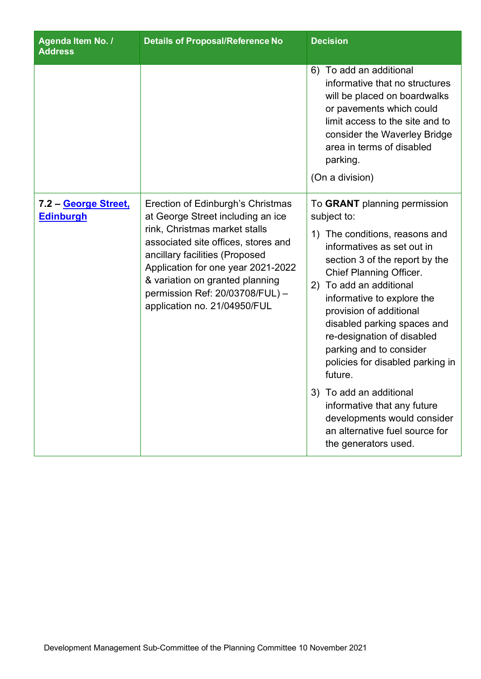| Agenda Item No. /<br><b>Address</b>      | <b>Details of Proposal/Reference No</b>                                                                                                                                                                                                                                                                                      | <b>Decision</b>                                                                                                                                                                                                                                                                                                                                                                                                                                                                                                                                                     |
|------------------------------------------|------------------------------------------------------------------------------------------------------------------------------------------------------------------------------------------------------------------------------------------------------------------------------------------------------------------------------|---------------------------------------------------------------------------------------------------------------------------------------------------------------------------------------------------------------------------------------------------------------------------------------------------------------------------------------------------------------------------------------------------------------------------------------------------------------------------------------------------------------------------------------------------------------------|
|                                          |                                                                                                                                                                                                                                                                                                                              | 6) To add an additional<br>informative that no structures<br>will be placed on boardwalks<br>or pavements which could<br>limit access to the site and to<br>consider the Waverley Bridge<br>area in terms of disabled<br>parking.<br>(On a division)                                                                                                                                                                                                                                                                                                                |
| 7.2 - George Street,<br><b>Edinburgh</b> | Erection of Edinburgh's Christmas<br>at George Street including an ice<br>rink, Christmas market stalls<br>associated site offices, stores and<br>ancillary facilities (Proposed<br>Application for one year 2021-2022<br>& variation on granted planning<br>permission Ref: 20/03708/FUL) -<br>application no. 21/04950/FUL | To GRANT planning permission<br>subject to:<br>The conditions, reasons and<br>1)<br>informatives as set out in<br>section 3 of the report by the<br><b>Chief Planning Officer.</b><br>To add an additional<br>2)<br>informative to explore the<br>provision of additional<br>disabled parking spaces and<br>re-designation of disabled<br>parking and to consider<br>policies for disabled parking in<br>future.<br>3) To add an additional<br>informative that any future<br>developments would consider<br>an alternative fuel source for<br>the generators used. |